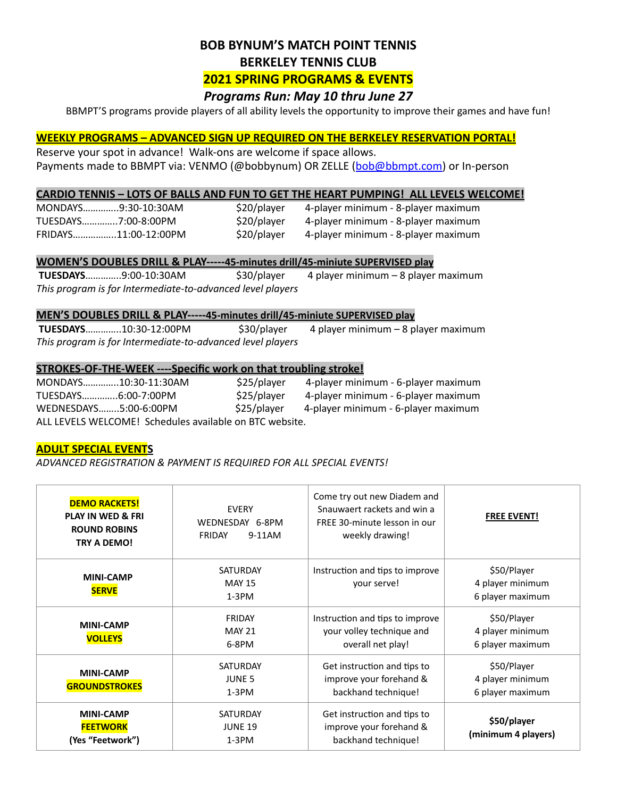# **BOB BYNUM'S MATCH POINT TENNIS BERKELEY TENNIS CLUB**

## **2021 SPRING PROGRAMS & EVENTS**

## *Programs Run: May 10 thru June 27*

BBMPT'S programs provide players of all ability levels the opportunity to improve their games and have fun!

#### **WEEKLY PROGRAMS - ADVANCED SIGN UP REQUIRED ON THE BERKELEY RESERVATION PORTAL!**

Reserve your spot in advance! Walk-ons are welcome if space allows. Payments made to BBMPT via: VENMO (@bobbynum) OR ZELLE [\(bob@bbmpt.com](mailto:bob@bbmpt.com)) or In-person

#### **CARDIO TENNIS - LOTS OF BALLS AND FUN TO GET THE HEART PUMPING! ALL LEVELS WELCOME!**

| MONDAYS9:30-10:30AM  |  |
|----------------------|--|
| TUESDAYS7:00-8:00PM  |  |
| FRIDAYS11:00-12:00PN |  |

 $$20/p$ layer 4-player minimum - 8-player maximum \$20/player 4-player minimum - 8-player maximum

A shall player 4-player minimum - 8-player maximum

#### **WOMEN'S DOUBLES DRILL & PLAY-----45-minutes drill/45-miniute SUPERVISED play**

 **TUESDAYS**…………..9:00-10:30AM \$30/player 4 player minimum – 8 player maximum This program is for Intermediate-to-advanced level players

#### **MEN'S DOUBLES DRILL & PLAY-----45-minutes drill/45-miniute SUPERVISED play**

 **TUESDAYS**…………..10:30-12:00PM \$30/player 4 player minimum – 8 player maximum This program is for Intermediate-to-advanced level players

#### **STROKES-OF-THE-WEEK ----Specific work on that troubling stroke!**

| MONDAYS10:30-11:30AM  |                                                         | \$25/player | 4-player minimum - 6-player maximum |
|-----------------------|---------------------------------------------------------|-------------|-------------------------------------|
| TUESDAYS6:00-7:00PM   |                                                         | \$25/player | 4-player minimum - 6-player maximum |
| WEDNESDAYS5:00-6:00PM |                                                         | \$25/player | 4-player minimum - 6-player maximum |
|                       | ALL LEVELS WELCOME! Schedules available on BTC website. |             |                                     |

#### **ADULT SPECIAL EVENTS**

*ADVANCED REGISTRATION & PAYMENT IS REQUIRED FOR ALL SPECIAL EVENTS!*

| <b>DEMO RACKETS!</b><br><b>PLAY IN WED &amp; FRI</b><br><b>ROUND ROBINS</b><br>TRY A DEMO! | <b>EVERY</b><br>WEDNESDAY 6-8PM<br><b>FRIDAY</b><br>9-11AM | Come try out new Diadem and<br>Snauwaert rackets and win a<br>FREE 30-minute lesson in our<br>weekly drawing! | <b>FREE EVENT!</b>                                  |
|--------------------------------------------------------------------------------------------|------------------------------------------------------------|---------------------------------------------------------------------------------------------------------------|-----------------------------------------------------|
| <b>MINI-CAMP</b><br><b>SERVE</b>                                                           | <b>SATURDAY</b><br><b>MAY 15</b><br>$1-3PM$                | Instruction and tips to improve<br>your serve!                                                                | \$50/Player<br>4 player minimum<br>6 player maximum |
| <b>MINI-CAMP</b><br><b>VOLLEYS</b>                                                         | FRIDAY<br><b>MAY 21</b><br>6-8PM                           | Instruction and tips to improve<br>your volley technique and<br>overall net play!                             | \$50/Player<br>4 player minimum<br>6 player maximum |
| <b>MINI-CAMP</b><br><b>GROUNDSTROKES</b>                                                   | <b>SATURDAY</b><br><b>JUNE 5</b><br>$1-3PM$                | Get instruction and tips to<br>improve your forehand &<br>backhand technique!                                 | \$50/Player<br>4 player minimum<br>6 player maximum |
| <b>MINI-CAMP</b><br><b>FEETWORK</b><br>(Yes "Feetwork")                                    | <b>SATURDAY</b><br><b>JUNE 19</b><br>$1-3PM$               | Get instruction and tips to<br>improve your forehand &<br>backhand technique!                                 | \$50/player<br>(minimum 4 players)                  |